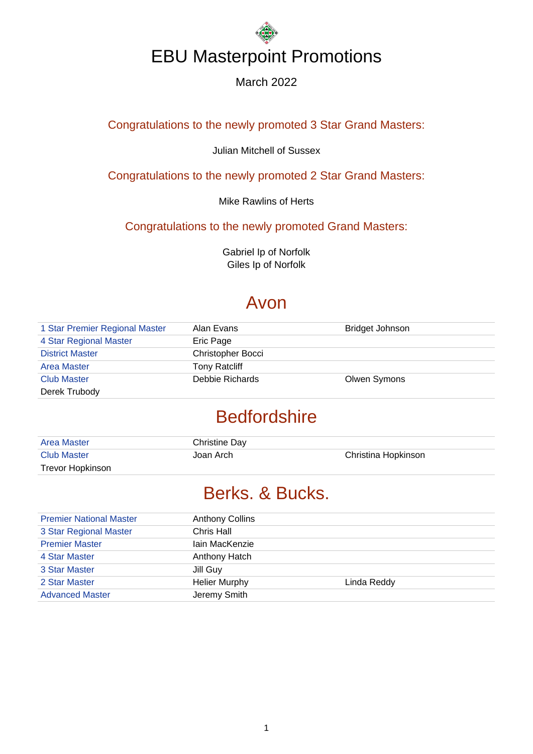#### March 2022

#### Congratulations to the newly promoted 3 Star Grand Masters:

#### Julian Mitchell of Sussex

Congratulations to the newly promoted 2 Star Grand Masters:

Mike Rawlins of Herts

Congratulations to the newly promoted Grand Masters:

Gabriel Ip of Norfolk Giles Ip of Norfolk

### Avon

| 1 Star Premier Regional Master | Alan Evans               | Bridget Johnson |
|--------------------------------|--------------------------|-----------------|
| 4 Star Regional Master         | Eric Page                |                 |
| <b>District Master</b>         | <b>Christopher Bocci</b> |                 |
| <b>Area Master</b>             | <b>Tony Ratcliff</b>     |                 |
| <b>Club Master</b>             | Debbie Richards          | Olwen Symons    |
| Derek Trubody                  |                          |                 |

### **Bedfordshire**

| <b>Area Master</b> | Christine Day |                     |
|--------------------|---------------|---------------------|
| <b>Club Master</b> | Joan Arch     | Christina Hopkinson |
| Trevor Hopkinson   |               |                     |

## Berks. & Bucks.

| <b>Premier National Master</b> | <b>Anthony Collins</b> |             |
|--------------------------------|------------------------|-------------|
| 3 Star Regional Master         | Chris Hall             |             |
| <b>Premier Master</b>          | lain MacKenzie         |             |
| 4 Star Master                  | Anthony Hatch          |             |
| 3 Star Master                  | Jill Guy               |             |
| 2 Star Master                  | <b>Helier Murphy</b>   | Linda Reddy |
| <b>Advanced Master</b>         | Jeremy Smith           |             |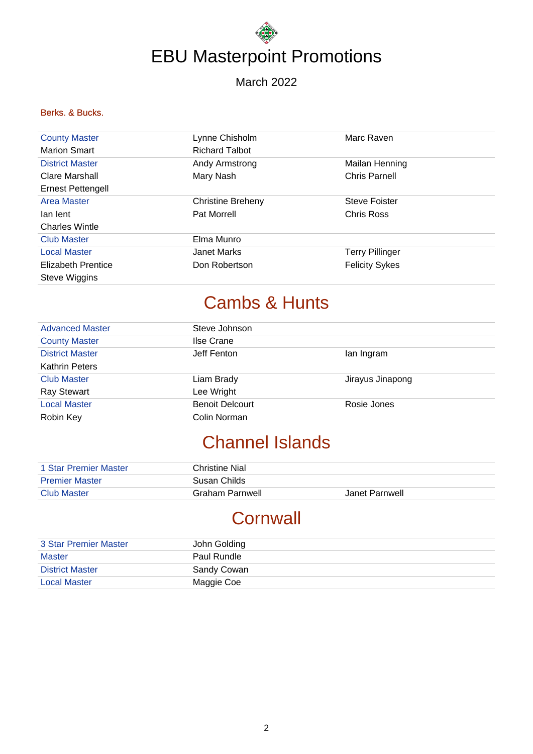March 2022

#### Berks. & Bucks.

| <b>County Master</b>     | Lynne Chisholm           | Marc Raven             |
|--------------------------|--------------------------|------------------------|
| <b>Marion Smart</b>      | <b>Richard Talbot</b>    |                        |
| <b>District Master</b>   | Andy Armstrong           | Mailan Henning         |
| Clare Marshall           | Mary Nash                | <b>Chris Parnell</b>   |
| <b>Ernest Pettengell</b> |                          |                        |
| <b>Area Master</b>       | <b>Christine Breheny</b> | <b>Steve Foister</b>   |
| lan lent                 | <b>Pat Morrell</b>       | Chris Ross             |
| <b>Charles Wintle</b>    |                          |                        |
| <b>Club Master</b>       | Elma Munro               |                        |
| <b>Local Master</b>      | Janet Marks              | <b>Terry Pillinger</b> |
| Elizabeth Prentice       | Don Robertson            | <b>Felicity Sykes</b>  |
| Steve Wiggins            |                          |                        |

## Cambs & Hunts

| <b>Advanced Master</b> | Steve Johnson          |                  |
|------------------------|------------------------|------------------|
| <b>County Master</b>   | Ilse Crane             |                  |
| <b>District Master</b> | Jeff Fenton            | lan Ingram       |
| <b>Kathrin Peters</b>  |                        |                  |
| <b>Club Master</b>     | Liam Brady             | Jirayus Jinapong |
| <b>Ray Stewart</b>     | Lee Wright             |                  |
| <b>Local Master</b>    | <b>Benoit Delcourt</b> | Rosie Jones      |
| Robin Key              | Colin Norman           |                  |

## Channel Islands

| 1 Star Premier Master | Christine Nial  |                |
|-----------------------|-----------------|----------------|
| <b>Premier Master</b> | Susan Childs    |                |
| <b>Club Master</b>    | Graham Parnwell | Janet Parnwell |

## **Cornwall**

| 3 Star Premier Master  | John Golding |
|------------------------|--------------|
| Master                 | Paul Rundle  |
| <b>District Master</b> | Sandy Cowan  |
| <b>Local Master</b>    | Maggie Coe   |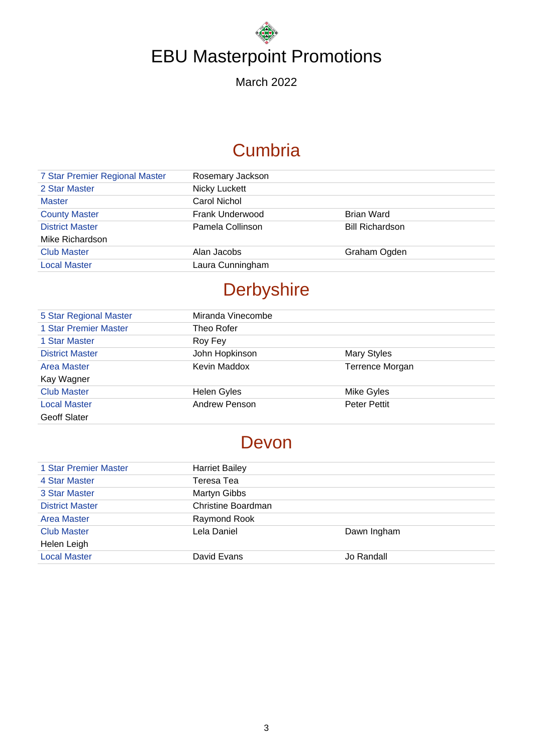March 2022

## **Cumbria**

| 7 Star Premier Regional Master | Rosemary Jackson |                        |
|--------------------------------|------------------|------------------------|
| 2 Star Master                  | Nicky Luckett    |                        |
| <b>Master</b>                  | Carol Nichol     |                        |
| <b>County Master</b>           | Frank Underwood  | <b>Brian Ward</b>      |
| <b>District Master</b>         | Pamela Collinson | <b>Bill Richardson</b> |
| Mike Richardson                |                  |                        |
| <b>Club Master</b>             | Alan Jacobs      | Graham Ogden           |
| <b>Local Master</b>            | Laura Cunningham |                        |
|                                |                  |                        |

## **Derbyshire**

| 5 Star Regional Master | Miranda Vinecombe  |                     |
|------------------------|--------------------|---------------------|
| 1 Star Premier Master  | Theo Rofer         |                     |
| 1 Star Master          | Roy Fey            |                     |
| <b>District Master</b> | John Hopkinson     | <b>Mary Styles</b>  |
| <b>Area Master</b>     | Kevin Maddox       | Terrence Morgan     |
| Kay Wagner             |                    |                     |
| <b>Club Master</b>     | <b>Helen Gyles</b> | Mike Gyles          |
| <b>Local Master</b>    | Andrew Penson      | <b>Peter Pettit</b> |
| <b>Geoff Slater</b>    |                    |                     |

## Devon

| 1 Star Premier Master  | <b>Harriet Bailey</b> |             |
|------------------------|-----------------------|-------------|
| 4 Star Master          | Teresa Tea            |             |
| 3 Star Master          | Martyn Gibbs          |             |
| <b>District Master</b> | Christine Boardman    |             |
| Area Master            | Raymond Rook          |             |
| <b>Club Master</b>     | Lela Daniel           | Dawn Ingham |
| Helen Leigh            |                       |             |
| <b>Local Master</b>    | David Evans           | Jo Randall  |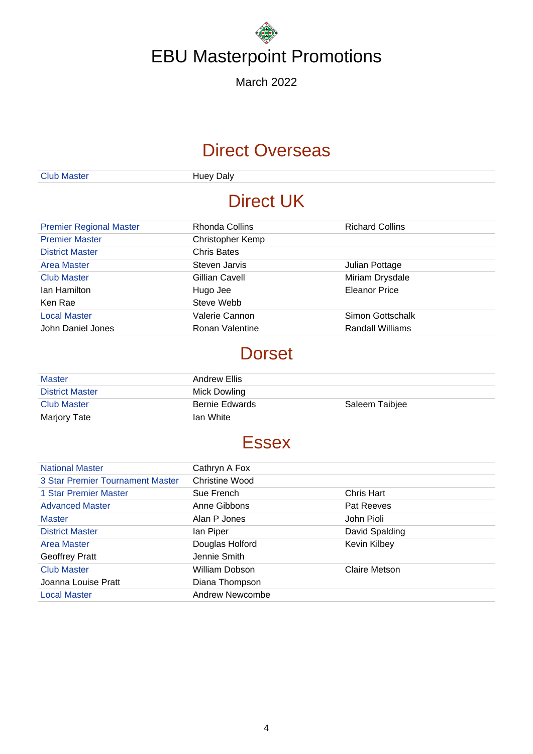March 2022

## Direct Overseas

Club Master **Huey Daly** 

## Direct UK

| <b>Premier Regional Master</b> | Rhonda Collins     | <b>Richard Collins</b> |
|--------------------------------|--------------------|------------------------|
| <b>Premier Master</b>          | Christopher Kemp   |                        |
| <b>District Master</b>         | <b>Chris Bates</b> |                        |
| Area Master                    | Steven Jarvis      | Julian Pottage         |
| <b>Club Master</b>             | Gillian Cavell     | Miriam Drysdale        |
| Ian Hamilton                   | Hugo Jee           | <b>Eleanor Price</b>   |
| Ken Rae                        | Steve Webb         |                        |
| <b>Local Master</b>            | Valerie Cannon     | Simon Gottschalk       |
| John Daniel Jones              | Ronan Valentine    | Randall Williams       |

### **Dorset**

| <b>Master</b>          | Andrew Ellis          |                |
|------------------------|-----------------------|----------------|
| <b>District Master</b> | Mick Dowling          |                |
| <b>Club Master</b>     | <b>Bernie Edwards</b> | Saleem Taibjee |
| <b>Marjory Tate</b>    | Ian White             |                |

## **Essex**

| <b>National Master</b>           | Cathryn A Fox         |                |
|----------------------------------|-----------------------|----------------|
| 3 Star Premier Tournament Master | <b>Christine Wood</b> |                |
| 1 Star Premier Master            | Sue French            | Chris Hart     |
| <b>Advanced Master</b>           | Anne Gibbons          | Pat Reeves     |
| <b>Master</b>                    | Alan P Jones          | John Pioli     |
| <b>District Master</b>           | lan Piper             | David Spalding |
| <b>Area Master</b>               | Douglas Holford       | Kevin Kilbey   |
| Geoffrey Pratt                   | Jennie Smith          |                |
| <b>Club Master</b>               | William Dobson        | Claire Metson  |
| Joanna Louise Pratt              | Diana Thompson        |                |
| <b>Local Master</b>              | Andrew Newcombe       |                |
|                                  |                       |                |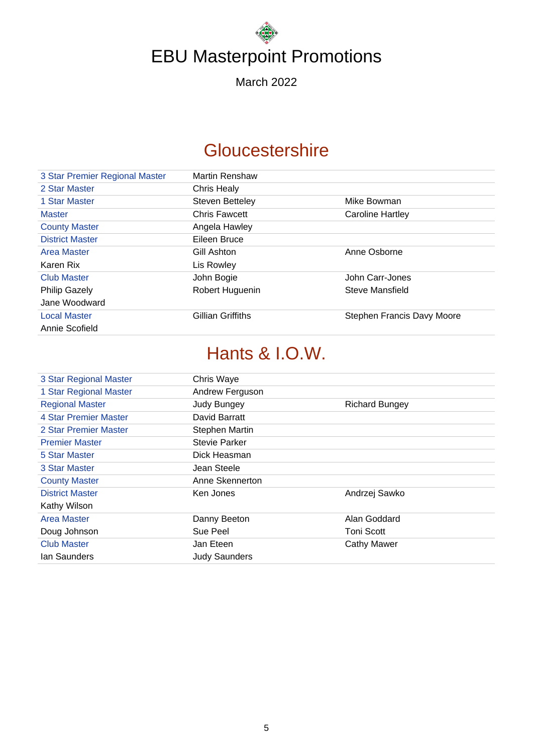March 2022

## **Gloucestershire**

| 3 Star Premier Regional Master | Martin Renshaw           |                            |
|--------------------------------|--------------------------|----------------------------|
| 2 Star Master                  | Chris Healy              |                            |
| 1 Star Master                  | <b>Steven Betteley</b>   | Mike Bowman                |
| <b>Master</b>                  | <b>Chris Fawcett</b>     | <b>Caroline Hartley</b>    |
| <b>County Master</b>           | Angela Hawley            |                            |
| <b>District Master</b>         | Eileen Bruce             |                            |
| Area Master                    | Gill Ashton              | Anne Osborne               |
| Karen Rix                      | Lis Rowley               |                            |
| <b>Club Master</b>             | John Bogie               | John Carr-Jones            |
| <b>Philip Gazely</b>           | Robert Huguenin          | Steve Mansfield            |
| Jane Woodward                  |                          |                            |
| <b>Local Master</b>            | <b>Gillian Griffiths</b> | Stephen Francis Davy Moore |
| Annie Scofield                 |                          |                            |

## Hants & I.O.W.

| 3 Star Regional Master | Chris Waye           |                       |
|------------------------|----------------------|-----------------------|
| 1 Star Regional Master | Andrew Ferguson      |                       |
| <b>Regional Master</b> | <b>Judy Bungey</b>   | <b>Richard Bungey</b> |
| 4 Star Premier Master  | David Barratt        |                       |
| 2 Star Premier Master  | Stephen Martin       |                       |
| <b>Premier Master</b>  | Stevie Parker        |                       |
| 5 Star Master          | Dick Heasman         |                       |
| 3 Star Master          | Jean Steele          |                       |
| <b>County Master</b>   | Anne Skennerton      |                       |
| <b>District Master</b> | Ken Jones            | Andrzej Sawko         |
| Kathy Wilson           |                      |                       |
| Area Master            | Danny Beeton         | Alan Goddard          |
| Doug Johnson           | Sue Peel             | Toni Scott            |
| <b>Club Master</b>     | Jan Eteen            | <b>Cathy Mawer</b>    |
| lan Saunders           | <b>Judy Saunders</b> |                       |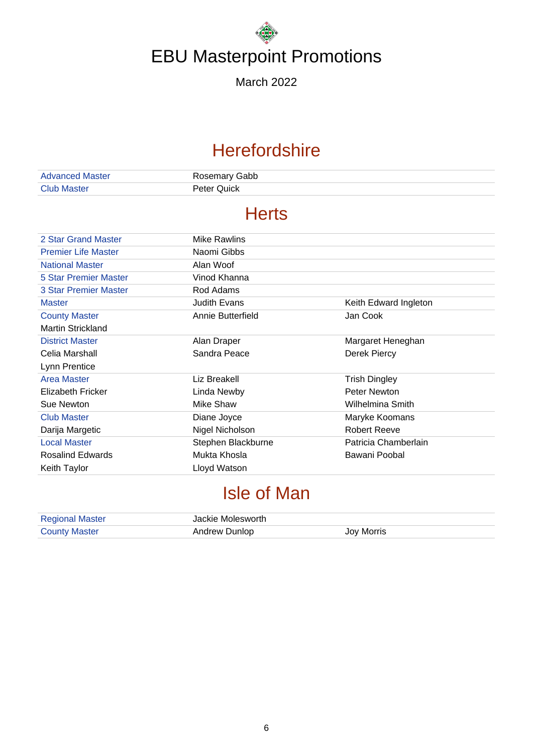March 2022

## **Herefordshire**

| <b>Advanced Master</b> | Rosemary Gabb |
|------------------------|---------------|
| <b>Club Master</b>     | Peter Quick   |

### **Herts**

| 2 Star Grand Master        | Mike Rawlins       |                       |
|----------------------------|--------------------|-----------------------|
| <b>Premier Life Master</b> | Naomi Gibbs        |                       |
| <b>National Master</b>     | Alan Woof          |                       |
| 5 Star Premier Master      | Vinod Khanna       |                       |
| 3 Star Premier Master      | Rod Adams          |                       |
| <b>Master</b>              | Judith Evans       | Keith Edward Ingleton |
| <b>County Master</b>       | Annie Butterfield  | Jan Cook              |
| Martin Strickland          |                    |                       |
| <b>District Master</b>     | Alan Draper        | Margaret Heneghan     |
| Celia Marshall             | Sandra Peace       | Derek Piercy          |
| Lynn Prentice              |                    |                       |
| Area Master                | Liz Breakell       | <b>Trish Dingley</b>  |
| Elizabeth Fricker          | Linda Newby        | Peter Newton          |
| Sue Newton                 | Mike Shaw          | Wilhelmina Smith      |
| <b>Club Master</b>         | Diane Joyce        | Maryke Koomans        |
| Darija Margetic            | Nigel Nicholson    | <b>Robert Reeve</b>   |
| <b>Local Master</b>        | Stephen Blackburne | Patricia Chamberlain  |
| <b>Rosalind Edwards</b>    | Mukta Khosla       | Bawani Poobal         |
| Keith Taylor               | Lloyd Watson       |                       |

## Isle of Man

| <b>Regional Master</b> | Jackie Molesworth |            |
|------------------------|-------------------|------------|
| <b>County Master</b>   | Andrew Dunlop     | Joy Morris |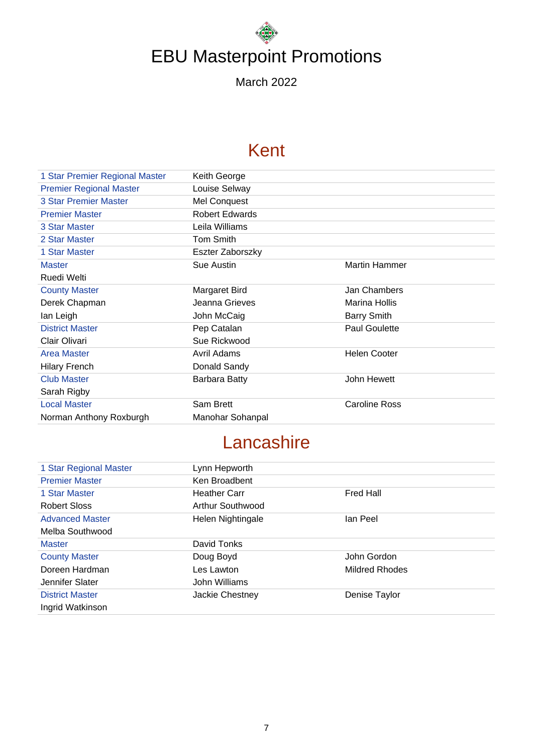March 2022

## Kent

| 1 Star Premier Regional Master | Keith George          |                      |
|--------------------------------|-----------------------|----------------------|
| <b>Premier Regional Master</b> | Louise Selway         |                      |
| <b>3 Star Premier Master</b>   | Mel Conquest          |                      |
| <b>Premier Master</b>          | <b>Robert Edwards</b> |                      |
| 3 Star Master                  | Leila Williams        |                      |
| 2 Star Master                  | <b>Tom Smith</b>      |                      |
| 1 Star Master                  | Eszter Zaborszky      |                      |
| <b>Master</b>                  | Sue Austin            | <b>Martin Hammer</b> |
| Ruedi Welti                    |                       |                      |
| <b>County Master</b>           | Margaret Bird         | Jan Chambers         |
| Derek Chapman                  | Jeanna Grieves        | Marina Hollis        |
| lan Leigh                      | John McCaig           | <b>Barry Smith</b>   |
| <b>District Master</b>         | Pep Catalan           | <b>Paul Goulette</b> |
| Clair Olivari                  | Sue Rickwood          |                      |
| <b>Area Master</b>             | Avril Adams           | <b>Helen Cooter</b>  |
| <b>Hilary French</b>           | Donald Sandy          |                      |
| <b>Club Master</b>             | <b>Barbara Batty</b>  | John Hewett          |
| Sarah Rigby                    |                       |                      |
| <b>Local Master</b>            | Sam Brett             | <b>Caroline Ross</b> |
| Norman Anthony Roxburgh        | Manohar Sohanpal      |                      |

## **Lancashire**

| 1 Star Regional Master | Lynn Hepworth       |                |
|------------------------|---------------------|----------------|
| <b>Premier Master</b>  | Ken Broadbent       |                |
| 1 Star Master          | <b>Heather Carr</b> | Fred Hall      |
| <b>Robert Sloss</b>    | Arthur Southwood    |                |
| <b>Advanced Master</b> | Helen Nightingale   | lan Peel       |
| Melba Southwood        |                     |                |
| <b>Master</b>          | David Tonks         |                |
| <b>County Master</b>   | Doug Boyd           | John Gordon    |
| Doreen Hardman         | Les Lawton          | Mildred Rhodes |
| Jennifer Slater        | John Williams       |                |
| <b>District Master</b> | Jackie Chestney     | Denise Taylor  |
| Ingrid Watkinson       |                     |                |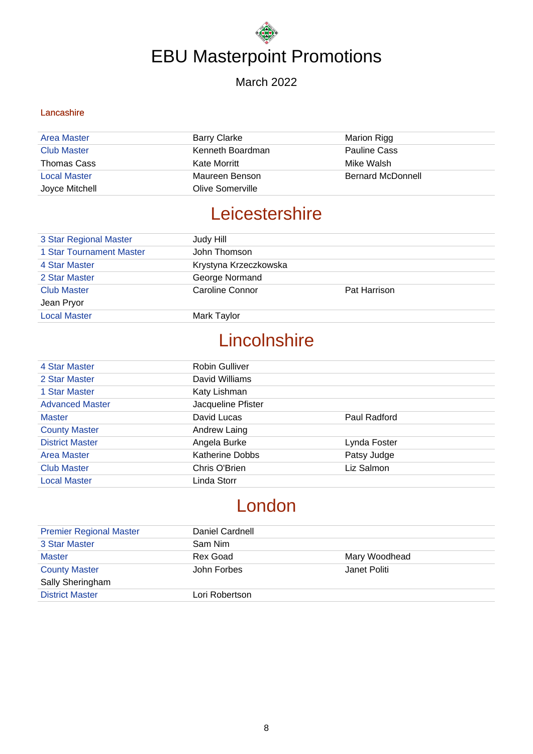#### March 2022

#### **Lancashire**

| Area Master         | Barry Clarke     | Marion Rigg              |
|---------------------|------------------|--------------------------|
| <b>Club Master</b>  | Kenneth Boardman | <b>Pauline Cass</b>      |
| Thomas Cass         | Kate Morritt     | Mike Walsh               |
| <b>Local Master</b> | Maureen Benson   | <b>Bernard McDonnell</b> |
| Joyce Mitchell      | Olive Somerville |                          |

### **Leicestershire**

| 3 Star Regional Master   | Judy Hill             |              |
|--------------------------|-----------------------|--------------|
| 1 Star Tournament Master | John Thomson          |              |
| 4 Star Master            | Krystyna Krzeczkowska |              |
| 2 Star Master            | George Normand        |              |
| <b>Club Master</b>       | Caroline Connor       | Pat Harrison |
| Jean Pryor               |                       |              |
| <b>Local Master</b>      | Mark Taylor           |              |
|                          |                       |              |

### **Lincolnshire**

| 4 Star Master          | Robin Gulliver         |              |
|------------------------|------------------------|--------------|
| 2 Star Master          | David Williams         |              |
| 1 Star Master          | Katy Lishman           |              |
| <b>Advanced Master</b> | Jacqueline Pfister     |              |
| <b>Master</b>          | David Lucas            | Paul Radford |
| <b>County Master</b>   | Andrew Laing           |              |
| <b>District Master</b> | Angela Burke           | Lynda Foster |
| Area Master            | <b>Katherine Dobbs</b> | Patsy Judge  |
| <b>Club Master</b>     | Chris O'Brien          | Liz Salmon   |
| <b>Local Master</b>    | Linda Storr            |              |

## London

| <b>Premier Regional Master</b> | Daniel Cardnell |               |
|--------------------------------|-----------------|---------------|
| 3 Star Master                  | Sam Nim         |               |
| <b>Master</b>                  | Rex Goad        | Mary Woodhead |
| <b>County Master</b>           | John Forbes     | Janet Politi  |
| Sally Sheringham               |                 |               |
| <b>District Master</b>         | Lori Robertson  |               |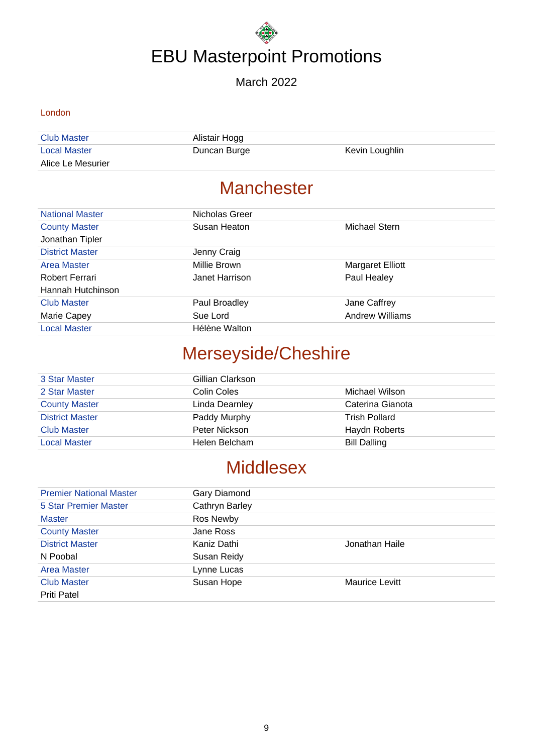#### March 2022

#### London

| <b>Club Master</b>  | Alistair Hogg |                |
|---------------------|---------------|----------------|
| <b>Local Master</b> | Duncan Burge  | Kevin Loughlin |
| Alice Le Mesurier   |               |                |

## **Manchester**

| <b>National Master</b> | Nicholas Greer |                         |
|------------------------|----------------|-------------------------|
| <b>County Master</b>   | Susan Heaton   | Michael Stern           |
| Jonathan Tipler        |                |                         |
| <b>District Master</b> | Jenny Craig    |                         |
| Area Master            | Millie Brown   | <b>Margaret Elliott</b> |
| Robert Ferrari         | Janet Harrison | Paul Healey             |
| Hannah Hutchinson      |                |                         |
| <b>Club Master</b>     | Paul Broadley  | Jane Caffrey            |
| Marie Capey            | Sue Lord       | <b>Andrew Williams</b>  |
| <b>Local Master</b>    | Hélène Walton  |                         |

## Merseyside/Cheshire

| 3 Star Master          | Gillian Clarkson |                     |
|------------------------|------------------|---------------------|
| 2 Star Master          | Colin Coles      | Michael Wilson      |
| <b>County Master</b>   | Linda Dearnley   | Caterina Gianota    |
| <b>District Master</b> | Paddy Murphy     | Trish Pollard       |
| <b>Club Master</b>     | Peter Nickson    | Haydn Roberts       |
| <b>Local Master</b>    | Helen Belcham    | <b>Bill Dalling</b> |

## **Middlesex**

| <b>Premier National Master</b> | Gary Diamond   |                       |
|--------------------------------|----------------|-----------------------|
| <b>5 Star Premier Master</b>   | Cathryn Barley |                       |
| <b>Master</b>                  | Ros Newby      |                       |
| <b>County Master</b>           | Jane Ross      |                       |
| <b>District Master</b>         | Kaniz Dathi    | Jonathan Haile        |
| N Poobal                       | Susan Reidy    |                       |
| <b>Area Master</b>             | Lynne Lucas    |                       |
| <b>Club Master</b>             | Susan Hope     | <b>Maurice Levitt</b> |
| <b>Priti Patel</b>             |                |                       |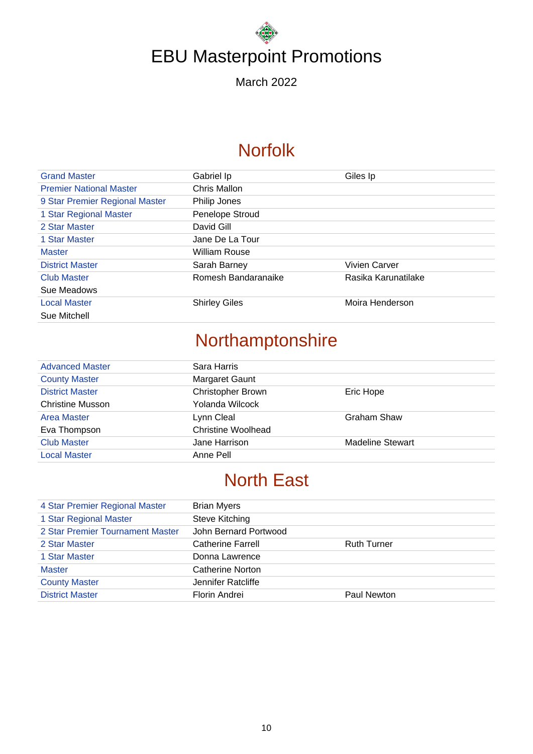March 2022

## **Norfolk**

| <b>Grand Master</b>            | Gabriel Ip           | Giles Ip            |
|--------------------------------|----------------------|---------------------|
| <b>Premier National Master</b> | Chris Mallon         |                     |
| 9 Star Premier Regional Master | Philip Jones         |                     |
| 1 Star Regional Master         | Penelope Stroud      |                     |
| 2 Star Master                  | David Gill           |                     |
| 1 Star Master                  | Jane De La Tour      |                     |
| <b>Master</b>                  | <b>William Rouse</b> |                     |
| <b>District Master</b>         | Sarah Barney         | Vivien Carver       |
| Club Master                    | Romesh Bandaranaike  | Rasika Karunatilake |
| Sue Meadows                    |                      |                     |
| <b>Local Master</b>            | <b>Shirley Giles</b> | Moira Henderson     |
| Sue Mitchell                   |                      |                     |

## Northamptonshire

| <b>Advanced Master</b>  | Sara Harris               |                         |
|-------------------------|---------------------------|-------------------------|
| <b>County Master</b>    | Margaret Gaunt            |                         |
| <b>District Master</b>  | <b>Christopher Brown</b>  | Eric Hope               |
| <b>Christine Musson</b> | Yolanda Wilcock           |                         |
| <b>Area Master</b>      | Lynn Cleal                | Graham Shaw             |
| Eva Thompson            | <b>Christine Woolhead</b> |                         |
| <b>Club Master</b>      | Jane Harrison             | <b>Madeline Stewart</b> |
| <b>Local Master</b>     | Anne Pell                 |                         |

### North East

| 4 Star Premier Regional Master   | <b>Brian Myers</b>       |                    |
|----------------------------------|--------------------------|--------------------|
| 1 Star Regional Master           | <b>Steve Kitching</b>    |                    |
| 2 Star Premier Tournament Master | John Bernard Portwood    |                    |
| 2 Star Master                    | <b>Catherine Farrell</b> | <b>Ruth Turner</b> |
| 1 Star Master                    | Donna Lawrence           |                    |
| <b>Master</b>                    | Catherine Norton         |                    |
| <b>County Master</b>             | Jennifer Ratcliffe       |                    |
| <b>District Master</b>           | Florin Andrei            | Paul Newton        |
|                                  |                          |                    |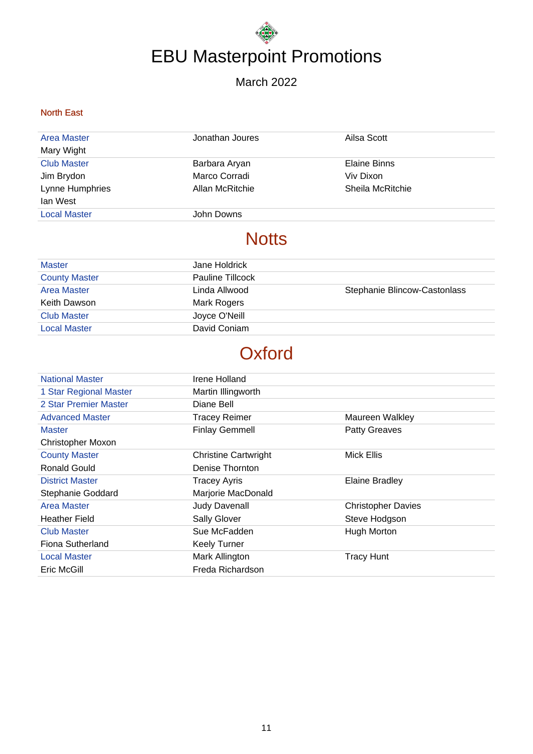#### March 2022

#### North East

| <b>Area Master</b>  | Jonathan Joures | Ailsa Scott      |
|---------------------|-----------------|------------------|
| Mary Wight          |                 |                  |
| <b>Club Master</b>  | Barbara Aryan   | Elaine Binns     |
| Jim Brydon          | Marco Corradi   | Viv Dixon        |
| Lynne Humphries     | Allan McRitchie | Sheila McRitchie |
| lan West            |                 |                  |
| <b>Local Master</b> | John Downs      |                  |

## **Notts**

| <b>Master</b>        | Jane Holdrick    |                              |
|----------------------|------------------|------------------------------|
| <b>County Master</b> | Pauline Tillcock |                              |
| <b>Area Master</b>   | Linda Allwood    | Stephanie Blincow-Castonlass |
| Keith Dawson         | Mark Rogers      |                              |
| <b>Club Master</b>   | Joyce O'Neill    |                              |
| <b>Local Master</b>  | David Coniam     |                              |

## **Oxford**

| <b>National Master</b>   | Irene Holland               |                           |
|--------------------------|-----------------------------|---------------------------|
| 1 Star Regional Master   | Martin Illingworth          |                           |
| 2 Star Premier Master    | Diane Bell                  |                           |
| <b>Advanced Master</b>   | <b>Tracey Reimer</b>        | Maureen Walkley           |
| <b>Master</b>            | <b>Finlay Gemmell</b>       | <b>Patty Greaves</b>      |
| <b>Christopher Moxon</b> |                             |                           |
| <b>County Master</b>     | <b>Christine Cartwright</b> | Mick Ellis                |
| Ronald Gould             | Denise Thornton             |                           |
| <b>District Master</b>   | <b>Tracey Ayris</b>         | <b>Elaine Bradley</b>     |
| Stephanie Goddard        | Marjorie MacDonald          |                           |
| <b>Area Master</b>       | <b>Judy Davenall</b>        | <b>Christopher Davies</b> |
| <b>Heather Field</b>     | <b>Sally Glover</b>         | Steve Hodgson             |
| <b>Club Master</b>       | Sue McFadden                | Hugh Morton               |
| Fiona Sutherland         | <b>Keely Turner</b>         |                           |
| <b>Local Master</b>      | Mark Allington              | <b>Tracy Hunt</b>         |
| Eric McGill              | Freda Richardson            |                           |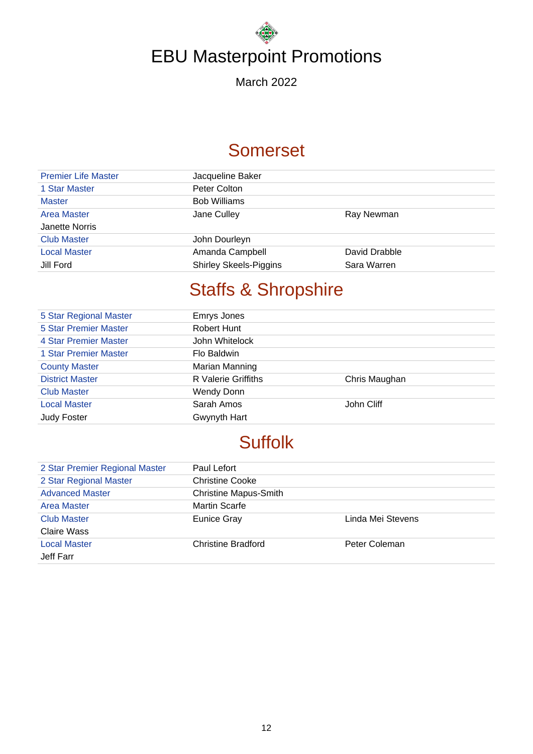March 2022

## Somerset

| <b>Premier Life Master</b> | Jacqueline Baker              |               |
|----------------------------|-------------------------------|---------------|
| 1 Star Master              | Peter Colton                  |               |
| <b>Master</b>              | <b>Bob Williams</b>           |               |
| <b>Area Master</b>         | Jane Culley                   | Ray Newman    |
| Janette Norris             |                               |               |
| <b>Club Master</b>         | John Dourleyn                 |               |
| <b>Local Master</b>        | Amanda Campbell               | David Drabble |
| Jill Ford                  | <b>Shirley Skeels-Piggins</b> | Sara Warren   |

## Staffs & Shropshire

| 5 Star Regional Master       | Emrys Jones         |               |
|------------------------------|---------------------|---------------|
| <b>5 Star Premier Master</b> | Robert Hunt         |               |
| 4 Star Premier Master        | John Whitelock      |               |
| 1 Star Premier Master        | Flo Baldwin         |               |
| <b>County Master</b>         | Marian Manning      |               |
| <b>District Master</b>       | R Valerie Griffiths | Chris Maughan |
| <b>Club Master</b>           | <b>Wendy Donn</b>   |               |
| <b>Local Master</b>          | Sarah Amos          | John Cliff    |
| <b>Judy Foster</b>           | Gwynyth Hart        |               |

## **Suffolk**

| 2 Star Premier Regional Master | Paul Lefort                  |                   |
|--------------------------------|------------------------------|-------------------|
| 2 Star Regional Master         | <b>Christine Cooke</b>       |                   |
| <b>Advanced Master</b>         | <b>Christine Mapus-Smith</b> |                   |
| <b>Area Master</b>             | <b>Martin Scarfe</b>         |                   |
| <b>Club Master</b>             | <b>Eunice Gray</b>           | Linda Mei Stevens |
| Claire Wass                    |                              |                   |
| <b>Local Master</b>            | <b>Christine Bradford</b>    | Peter Coleman     |
| Jeff Farr                      |                              |                   |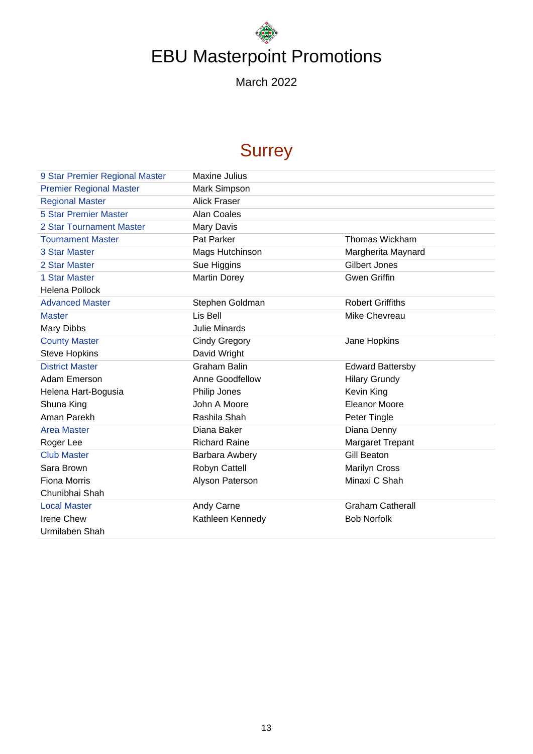March 2022

## **Surrey**

| 9 Star Premier Regional Master | Maxine Julius        |                         |
|--------------------------------|----------------------|-------------------------|
| <b>Premier Regional Master</b> | Mark Simpson         |                         |
| <b>Regional Master</b>         | <b>Alick Fraser</b>  |                         |
| <b>5 Star Premier Master</b>   | <b>Alan Coales</b>   |                         |
| 2 Star Tournament Master       | Mary Davis           |                         |
| <b>Tournament Master</b>       | Pat Parker           | <b>Thomas Wickham</b>   |
| 3 Star Master                  | Mags Hutchinson      | Margherita Maynard      |
| 2 Star Master                  | Sue Higgins          | <b>Gilbert Jones</b>    |
| 1 Star Master                  | <b>Martin Dorey</b>  | <b>Gwen Griffin</b>     |
| <b>Helena Pollock</b>          |                      |                         |
| <b>Advanced Master</b>         | Stephen Goldman      | <b>Robert Griffiths</b> |
| <b>Master</b>                  | Lis Bell             | Mike Chevreau           |
| Mary Dibbs                     | <b>Julie Minards</b> |                         |
| <b>County Master</b>           | <b>Cindy Gregory</b> | Jane Hopkins            |
| <b>Steve Hopkins</b>           | David Wright         |                         |
| <b>District Master</b>         | <b>Graham Balin</b>  | <b>Edward Battersby</b> |
| Adam Emerson                   | Anne Goodfellow      | <b>Hilary Grundy</b>    |
| Helena Hart-Bogusia            | Philip Jones         | Kevin King              |
| Shuna King                     | John A Moore         | <b>Eleanor Moore</b>    |
| Aman Parekh                    | Rashila Shah         | Peter Tingle            |
| <b>Area Master</b>             | Diana Baker          | Diana Denny             |
| Roger Lee                      | <b>Richard Raine</b> | Margaret Trepant        |
| <b>Club Master</b>             | Barbara Awbery       | <b>Gill Beaton</b>      |
| Sara Brown                     | Robyn Cattell        | <b>Marilyn Cross</b>    |
| <b>Fiona Morris</b>            | Alyson Paterson      | Minaxi C Shah           |
| Chunibhai Shah                 |                      |                         |
| <b>Local Master</b>            | Andy Carne           | <b>Graham Catherall</b> |
| <b>Irene Chew</b>              | Kathleen Kennedy     | <b>Bob Norfolk</b>      |
| Urmilaben Shah                 |                      |                         |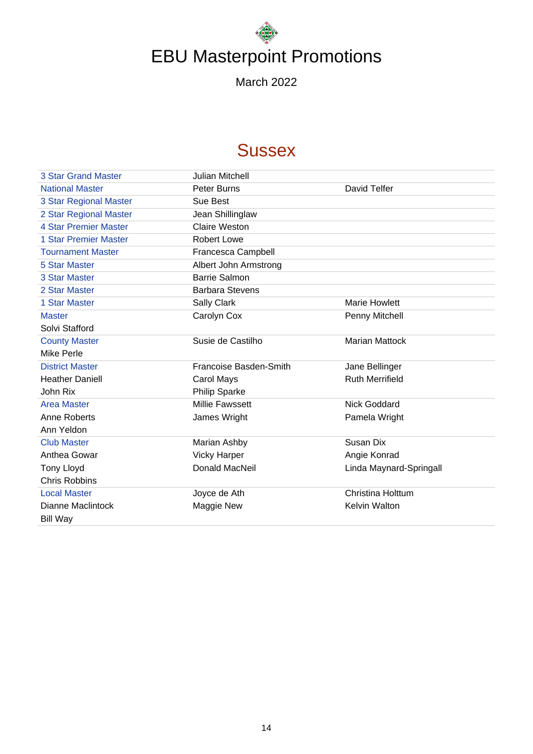March 2022

## **Sussex**

| <b>3 Star Grand Master</b>   | <b>Julian Mitchell</b>        |                          |
|------------------------------|-------------------------------|--------------------------|
| <b>National Master</b>       | Peter Burns                   | David Telfer             |
| 3 Star Regional Master       | Sue Best                      |                          |
| 2 Star Regional Master       | Jean Shillinglaw              |                          |
| <b>4 Star Premier Master</b> | <b>Claire Weston</b>          |                          |
| <b>1 Star Premier Master</b> | <b>Robert Lowe</b>            |                          |
| <b>Tournament Master</b>     | Francesca Campbell            |                          |
| <b>5 Star Master</b>         | Albert John Armstrong         |                          |
| 3 Star Master                | <b>Barrie Salmon</b>          |                          |
| 2 Star Master                | <b>Barbara Stevens</b>        |                          |
| 1 Star Master                | Sally Clark                   | <b>Marie Howlett</b>     |
| <b>Master</b>                | Carolyn Cox                   | Penny Mitchell           |
| Solvi Stafford               |                               |                          |
| <b>County Master</b>         | Susie de Castilho             | <b>Marian Mattock</b>    |
| <b>Mike Perle</b>            |                               |                          |
| <b>District Master</b>       | <b>Francoise Basden-Smith</b> | Jane Bellinger           |
| <b>Heather Daniell</b>       | Carol Mays                    | <b>Ruth Merrifield</b>   |
| John Rix                     | <b>Philip Sparke</b>          |                          |
| <b>Area Master</b>           | <b>Millie Fawssett</b>        | <b>Nick Goddard</b>      |
| Anne Roberts                 | James Wright                  | Pamela Wright            |
| Ann Yeldon                   |                               |                          |
| <b>Club Master</b>           | Marian Ashby                  | Susan Dix                |
| Anthea Gowar                 | <b>Vicky Harper</b>           | Angie Konrad             |
| <b>Tony Lloyd</b>            | Donald MacNeil                | Linda Maynard-Springall  |
| <b>Chris Robbins</b>         |                               |                          |
| <b>Local Master</b>          | Joyce de Ath                  | <b>Christina Holttum</b> |
| Dianne Maclintock            | Maggie New                    | Kelvin Walton            |
| <b>Bill Way</b>              |                               |                          |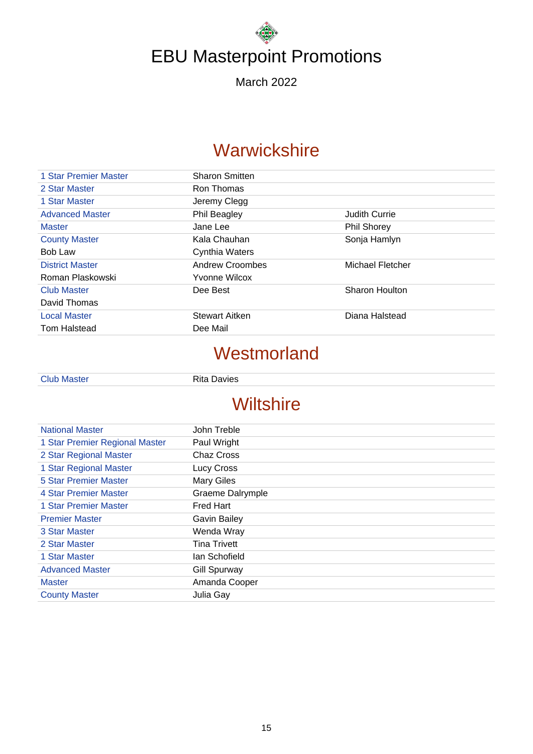March 2022

### **Warwickshire**

| 1 Star Premier Master  | <b>Sharon Smitten</b> |                      |
|------------------------|-----------------------|----------------------|
| 2 Star Master          | Ron Thomas            |                      |
| 1 Star Master          | Jeremy Clegg          |                      |
| <b>Advanced Master</b> | <b>Phil Beagley</b>   | <b>Judith Currie</b> |
| <b>Master</b>          | Jane Lee              | <b>Phil Shorey</b>   |
| <b>County Master</b>   | Kala Chauhan          | Sonja Hamlyn         |
| Bob Law                | Cynthia Waters        |                      |
| <b>District Master</b> | Andrew Croombes       | Michael Fletcher     |
| Roman Plaskowski       | <b>Yvonne Wilcox</b>  |                      |
| <b>Club Master</b>     | Dee Best              | Sharon Houlton       |
| David Thomas           |                       |                      |
| <b>Local Master</b>    | <b>Stewart Aitken</b> | Diana Halstead       |
| Tom Halstead           | Dee Mail              |                      |

## **Westmorland**

|  |  | <b>Club Master</b> |
|--|--|--------------------|
|  |  |                    |
|  |  |                    |

Rita Davies

## **Wiltshire**

| <b>National Master</b>         | John Treble             |
|--------------------------------|-------------------------|
| 1 Star Premier Regional Master | Paul Wright             |
| 2 Star Regional Master         | Chaz Cross              |
| 1 Star Regional Master         | Lucy Cross              |
| 5 Star Premier Master          | <b>Mary Giles</b>       |
| 4 Star Premier Master          | <b>Graeme Dalrymple</b> |
| 1 Star Premier Master          | <b>Fred Hart</b>        |
| <b>Premier Master</b>          | <b>Gavin Bailey</b>     |
| 3 Star Master                  | Wenda Wray              |
| 2 Star Master                  | <b>Tina Trivett</b>     |
| 1 Star Master                  | lan Schofield           |
| <b>Advanced Master</b>         | <b>Gill Spurway</b>     |
| <b>Master</b>                  | Amanda Cooper           |
| <b>County Master</b>           | Julia Gay               |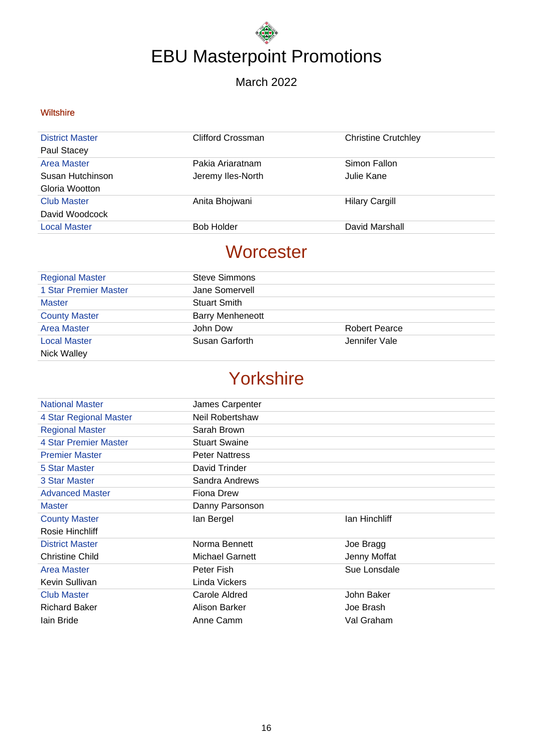#### March 2022

#### **Wiltshire**

| <b>District Master</b> | Clifford Crossman | <b>Christine Crutchley</b> |
|------------------------|-------------------|----------------------------|
| Paul Stacey            |                   |                            |
| <b>Area Master</b>     | Pakia Ariaratnam  | Simon Fallon               |
| Susan Hutchinson       | Jeremy Iles-North | Julie Kane                 |
| Gloria Wootton         |                   |                            |
| <b>Club Master</b>     | Anita Bhojwani    | <b>Hilary Cargill</b>      |
| David Woodcock         |                   |                            |
| <b>Local Master</b>    | <b>Bob Holder</b> | David Marshall             |

### **Worcester**

| <b>Regional Master</b> | <b>Steve Simmons</b>    |                      |
|------------------------|-------------------------|----------------------|
| 1 Star Premier Master  | Jane Somervell          |                      |
| <b>Master</b>          | <b>Stuart Smith</b>     |                      |
| <b>County Master</b>   | <b>Barry Menheneott</b> |                      |
| <b>Area Master</b>     | John Dow                | <b>Robert Pearce</b> |
| <b>Local Master</b>    | Susan Garforth          | Jennifer Vale        |
| <b>Nick Walley</b>     |                         |                      |

## Yorkshire

| <b>National Master</b> | James Carpenter       |               |
|------------------------|-----------------------|---------------|
| 4 Star Regional Master | Neil Robertshaw       |               |
| <b>Regional Master</b> | Sarah Brown           |               |
| 4 Star Premier Master  | <b>Stuart Swaine</b>  |               |
| <b>Premier Master</b>  | <b>Peter Nattress</b> |               |
| 5 Star Master          | David Trinder         |               |
| 3 Star Master          | Sandra Andrews        |               |
| <b>Advanced Master</b> | Fiona Drew            |               |
| <b>Master</b>          | Danny Parsonson       |               |
| <b>County Master</b>   | lan Bergel            | lan Hinchliff |
| Rosie Hinchliff        |                       |               |
| <b>District Master</b> | Norma Bennett         | Joe Bragg     |
| Christine Child        | Michael Garnett       | Jenny Moffat  |
| Area Master            | Peter Fish            | Sue Lonsdale  |
| Kevin Sullivan         | Linda Vickers         |               |
| <b>Club Master</b>     | Carole Aldred         | John Baker    |
| <b>Richard Baker</b>   | Alison Barker         | Joe Brash     |
| Iain Bride             |                       |               |